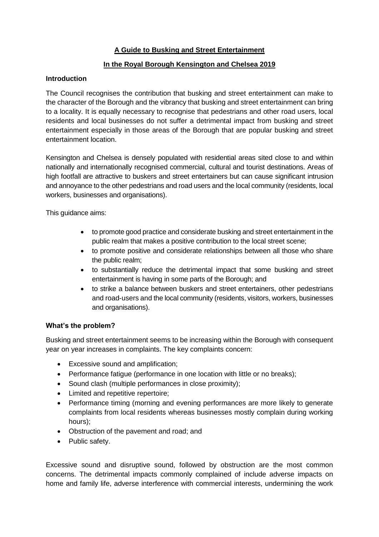# **A Guide to Busking and Street Entertainment**

# **In the Royal Borough Kensington and Chelsea 2019**

# **Introduction**

The Council recognises the contribution that busking and street entertainment can make to the character of the Borough and the vibrancy that busking and street entertainment can bring to a locality. It is equally necessary to recognise that pedestrians and other road users, local residents and local businesses do not suffer a detrimental impact from busking and street entertainment especially in those areas of the Borough that are popular busking and street entertainment location.

Kensington and Chelsea is densely populated with residential areas sited close to and within nationally and internationally recognised commercial, cultural and tourist destinations. Areas of high footfall are attractive to buskers and street entertainers but can cause significant intrusion and annoyance to the other pedestrians and road users and the local community (residents, local workers, businesses and organisations).

This guidance aims:

- to promote good practice and considerate busking and street entertainment in the public realm that makes a positive contribution to the local street scene;
- to promote positive and considerate relationships between all those who share the public realm;
- to substantially reduce the detrimental impact that some busking and street entertainment is having in some parts of the Borough; and
- to strike a balance between buskers and street entertainers, other pedestrians and road-users and the local community (residents, visitors, workers, businesses and organisations).

## **What's the problem?**

Busking and street entertainment seems to be increasing within the Borough with consequent year on year increases in complaints. The key complaints concern:

- Excessive sound and amplification;
- Performance fatigue (performance in one location with little or no breaks);
- Sound clash (multiple performances in close proximity):
- Limited and repetitive repertoire;
- Performance timing (morning and evening performances are more likely to generate complaints from local residents whereas businesses mostly complain during working hours);
- Obstruction of the pavement and road; and
- Public safety.

Excessive sound and disruptive sound, followed by obstruction are the most common concerns. The detrimental impacts commonly complained of include adverse impacts on home and family life, adverse interference with commercial interests, undermining the work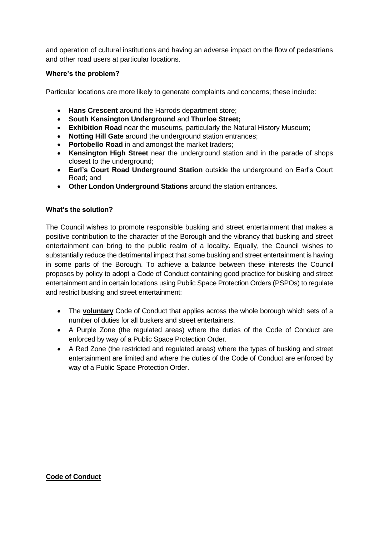and operation of cultural institutions and having an adverse impact on the flow of pedestrians and other road users at particular locations.

# **Where's the problem?**

Particular locations are more likely to generate complaints and concerns; these include:

- **Hans Crescent** around the Harrods department store;
- **South Kensington Underground** and **Thurloe Street;**
- **Exhibition Road** near the museums, particularly the Natural History Museum;
- **Notting Hill Gate** around the underground station entrances;
- **Portobello Road** in and amongst the market traders;
- **Kensington High Street** near the underground station and in the parade of shops closest to the underground;
- **Earl's Court Road Underground Station** outside the underground on Earl's Court Road; and
- **Other London Underground Stations** around the station entrances.

## **What's the solution?**

The Council wishes to promote responsible busking and street entertainment that makes a positive contribution to the character of the Borough and the vibrancy that busking and street entertainment can bring to the public realm of a locality. Equally, the Council wishes to substantially reduce the detrimental impact that some busking and street entertainment is having in some parts of the Borough. To achieve a balance between these interests the Council proposes by policy to adopt a Code of Conduct containing good practice for busking and street entertainment and in certain locations using Public Space Protection Orders (PSPOs) to regulate and restrict busking and street entertainment:

- The **voluntary** Code of Conduct that applies across the whole borough which sets of a number of duties for all buskers and street entertainers.
- A Purple Zone (the regulated areas) where the duties of the Code of Conduct are enforced by way of a Public Space Protection Order.
- A Red Zone (the restricted and regulated areas) where the types of busking and street entertainment are limited and where the duties of the Code of Conduct are enforced by way of a Public Space Protection Order.

## **Code of Conduct**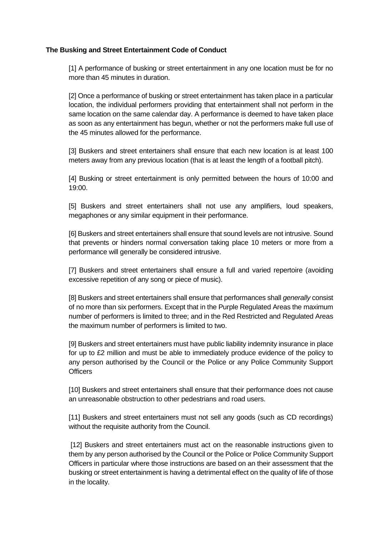## **The Busking and Street Entertainment Code of Conduct**

[1] A performance of busking or street entertainment in any one location must be for no more than 45 minutes in duration.

[2] Once a performance of busking or street entertainment has taken place in a particular location, the individual performers providing that entertainment shall not perform in the same location on the same calendar day. A performance is deemed to have taken place as soon as any entertainment has begun, whether or not the performers make full use of the 45 minutes allowed for the performance.

[3] Buskers and street entertainers shall ensure that each new location is at least 100 meters away from any previous location (that is at least the length of a football pitch).

[4] Busking or street entertainment is only permitted between the hours of 10:00 and 19:00.

[5] Buskers and street entertainers shall not use any amplifiers, loud speakers, megaphones or any similar equipment in their performance.

[6] Buskers and street entertainers shall ensure that sound levels are not intrusive. Sound that prevents or hinders normal conversation taking place 10 meters or more from a performance will generally be considered intrusive.

[7] Buskers and street entertainers shall ensure a full and varied repertoire (avoiding excessive repetition of any song or piece of music).

[8] Buskers and street entertainers shall ensure that performances shall *generally* consist of no more than six performers. Except that in the Purple Regulated Areas the maximum number of performers is limited to three; and in the Red Restricted and Regulated Areas the maximum number of performers is limited to two.

[9] Buskers and street entertainers must have public liability indemnity insurance in place for up to £2 million and must be able to immediately produce evidence of the policy to any person authorised by the Council or the Police or any Police Community Support **Officers** 

[10] Buskers and street entertainers shall ensure that their performance does not cause an unreasonable obstruction to other pedestrians and road users.

[11] Buskers and street entertainers must not sell any goods (such as CD recordings) without the requisite authority from the Council.

[12] Buskers and street entertainers must act on the reasonable instructions given to them by any person authorised by the Council or the Police or Police Community Support Officers in particular where those instructions are based on an their assessment that the busking or street entertainment is having a detrimental effect on the quality of life of those in the locality.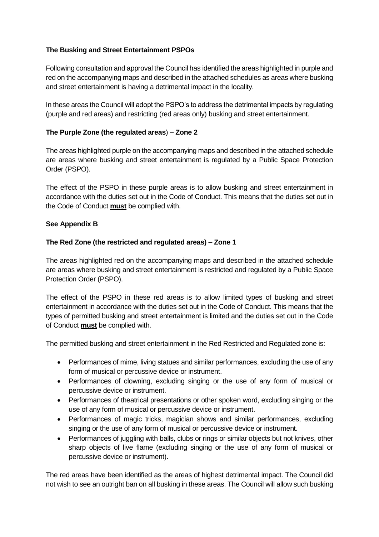# **The Busking and Street Entertainment PSPOs**

Following consultation and approval the Council has identified the areas highlighted in purple and red on the accompanying maps and described in the attached schedules as areas where busking and street entertainment is having a detrimental impact in the locality.

In these areas the Council will adopt the PSPO's to address the detrimental impacts by regulating (purple and red areas) and restricting (red areas only) busking and street entertainment.

## **The Purple Zone (the regulated areas**) **– Zone 2**

The areas highlighted purple on the accompanying maps and described in the attached schedule are areas where busking and street entertainment is regulated by a Public Space Protection Order (PSPO).

The effect of the PSPO in these purple areas is to allow busking and street entertainment in accordance with the duties set out in the Code of Conduct. This means that the duties set out in the Code of Conduct **must** be complied with.

#### **See Appendix B**

#### **The Red Zone (the restricted and regulated areas) – Zone 1**

The areas highlighted red on the accompanying maps and described in the attached schedule are areas where busking and street entertainment is restricted and regulated by a Public Space Protection Order (PSPO).

The effect of the PSPO in these red areas is to allow limited types of busking and street entertainment in accordance with the duties set out in the Code of Conduct. This means that the types of permitted busking and street entertainment is limited and the duties set out in the Code of Conduct **must** be complied with.

The permitted busking and street entertainment in the Red Restricted and Regulated zone is:

- Performances of mime, living statues and similar performances, excluding the use of any form of musical or percussive device or instrument.
- Performances of clowning, excluding singing or the use of any form of musical or percussive device or instrument.
- Performances of theatrical presentations or other spoken word, excluding singing or the use of any form of musical or percussive device or instrument.
- Performances of magic tricks, magician shows and similar performances, excluding singing or the use of any form of musical or percussive device or instrument.
- Performances of juggling with balls, clubs or rings or similar objects but not knives, other sharp objects of live flame (excluding singing or the use of any form of musical or percussive device or instrument).

The red areas have been identified as the areas of highest detrimental impact. The Council did not wish to see an outright ban on all busking in these areas. The Council will allow such busking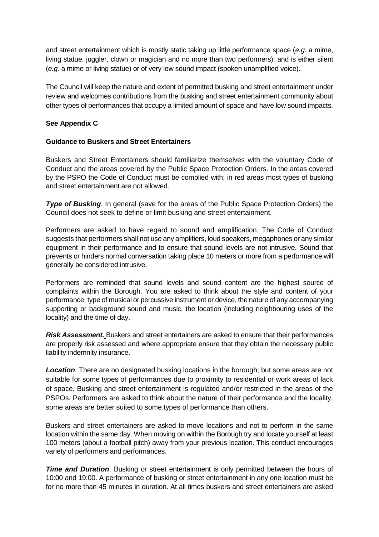and street entertainment which is mostly static taking up little performance space (*e.g.* a mime, living statue, juggler, clown or magician and no more than two performers); and is either silent (*e.g.* a mime or living statue) or of very low sound impact (spoken unamplified voice).

The Council will keep the nature and extent of permitted busking and street entertainment under review and welcomes contributions from the busking and street entertainment community about other types of performances that occupy a limited amount of space and have low sound impacts.

# **See Appendix C**

## **Guidance to Buskers and Street Entertainers**

Buskers and Street Entertainers should familiarize themselves with the voluntary Code of Conduct and the areas covered by the Public Space Protection Orders. In the areas covered by the PSPO the Code of Conduct must be complied with; in red areas most types of busking and street entertainment are not allowed.

*Type of Busking.* In general (save for the areas of the Public Space Protection Orders) the Council does not seek to define or limit busking and street entertainment.

Performers are asked to have regard to sound and amplification. The Code of Conduct suggests that performers shall not use any amplifiers, loud speakers, megaphones or any similar equipment in their performance and to ensure that sound levels are not intrusive. Sound that prevents or hinders normal conversation taking place 10 meters or more from a performance will generally be considered intrusive.

Performers are reminded that sound levels and sound content are the highest source of complaints within the Borough. You are asked to think about the style and content of your performance, type of musical or percussive instrument or device, the nature of any accompanying supporting or background sound and music, the location (including neighbouring uses of the locality) and the time of day.

*Risk Assessment.* Buskers and street entertainers are asked to ensure that their performances are properly risk assessed and where appropriate ensure that they obtain the necessary public liability indemnity insurance.

*Location*. There are no designated busking locations in the borough; but some areas are not suitable for some types of performances due to proximity to residential or work areas of lack of space. Busking and street entertainment is regulated and/or restricted in the areas of the PSPOs. Performers are asked to think about the nature of their performance and the locality, some areas are better suited to some types of performance than others.

Buskers and street entertainers are asked to move locations and not to perform in the same location within the same day. When moving on within the Borough try and locate yourself at least 100 meters (about a football pitch) away from your previous location. This conduct encourages variety of performers and performances.

*Time and Duration*. Busking or street entertainment is only permitted between the hours of 10:00 and 19:00. A performance of busking or street entertainment in any one location must be for no more than 45 minutes in duration. At all times buskers and street entertainers are asked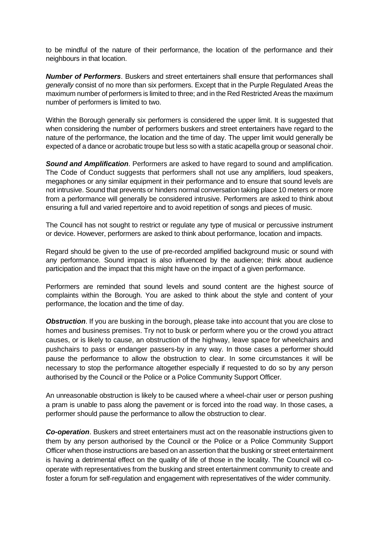to be mindful of the nature of their performance, the location of the performance and their neighbours in that location.

*Number of Performers*. Buskers and street entertainers shall ensure that performances shall *generally* consist of no more than six performers. Except that in the Purple Regulated Areas the maximum number of performers is limited to three; and in the Red Restricted Areas the maximum number of performers is limited to two.

Within the Borough generally six performers is considered the upper limit. It is suggested that when considering the number of performers buskers and street entertainers have regard to the nature of the performance, the location and the time of day. The upper limit would generally be expected of a dance or acrobatic troupe but less so with a static acapella group or seasonal choir.

*Sound and Amplification*. Performers are asked to have regard to sound and amplification. The Code of Conduct suggests that performers shall not use any amplifiers, loud speakers, megaphones or any similar equipment in their performance and to ensure that sound levels are not intrusive. Sound that prevents or hinders normal conversation taking place 10 meters or more from a performance will generally be considered intrusive. Performers are asked to think about ensuring a full and varied repertoire and to avoid repetition of songs and pieces of music.

The Council has not sought to restrict or regulate any type of musical or percussive instrument or device. However, performers are asked to think about performance, location and impacts.

Regard should be given to the use of pre-recorded amplified background music or sound with any performance. Sound impact is also influenced by the audience; think about audience participation and the impact that this might have on the impact of a given performance.

Performers are reminded that sound levels and sound content are the highest source of complaints within the Borough. You are asked to think about the style and content of your performance, the location and the time of day.

**Obstruction**. If you are busking in the borough, please take into account that you are close to homes and business premises. Try not to busk or perform where you or the crowd you attract causes, or is likely to cause, an obstruction of the highway, leave space for wheelchairs and pushchairs to pass or endanger passers-by in any way. In those cases a performer should pause the performance to allow the obstruction to clear. In some circumstances it will be necessary to stop the performance altogether especially if requested to do so by any person authorised by the Council or the Police or a Police Community Support Officer.

An unreasonable obstruction is likely to be caused where a wheel-chair user or person pushing a pram is unable to pass along the pavement or is forced into the road way. In those cases, a performer should pause the performance to allow the obstruction to clear.

*Co-operation*. Buskers and street entertainers must act on the reasonable instructions given to them by any person authorised by the Council or the Police or a Police Community Support Officer when those instructions are based on an assertion that the busking or street entertainment is having a detrimental effect on the quality of life of those in the locality. The Council will cooperate with representatives from the busking and street entertainment community to create and foster a forum for self-regulation and engagement with representatives of the wider community.